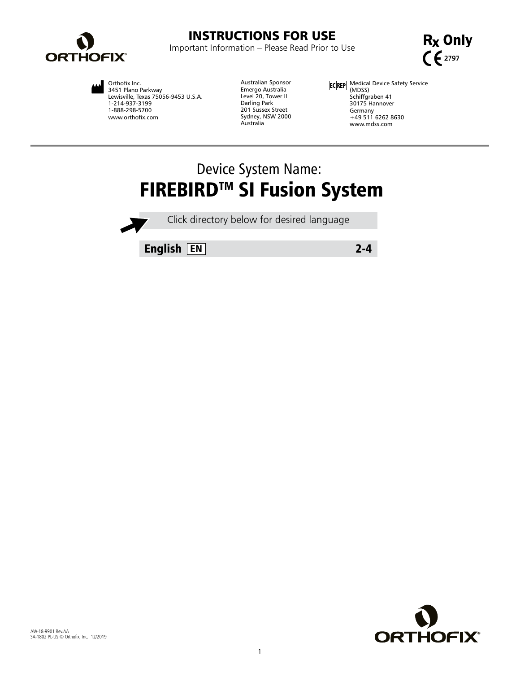

# INSTRUCTIONS FOR USE

Important Information – Please Read Prior to Use



Orthofix Inc. 3451 Plano Parkway Lewisville, Texas 75056-9453 U.S.A. 1-214-937-3199 1-888-298-5700 www.orthofix.com

Australian Sponsor Emergo Australia Level 20, Tower II Darling Park 201 Sussex Street Sydney, NSW 2000 Australia

Medical Device Safety Service (MDSS) Schiffgraben 41 30175 Hannover Germany +49 511 6262 8630 www.mdss.com

# Device System Name: **FIREBIRD™ SI Fusion System**

Click directory below for desired language

English EN 2-4

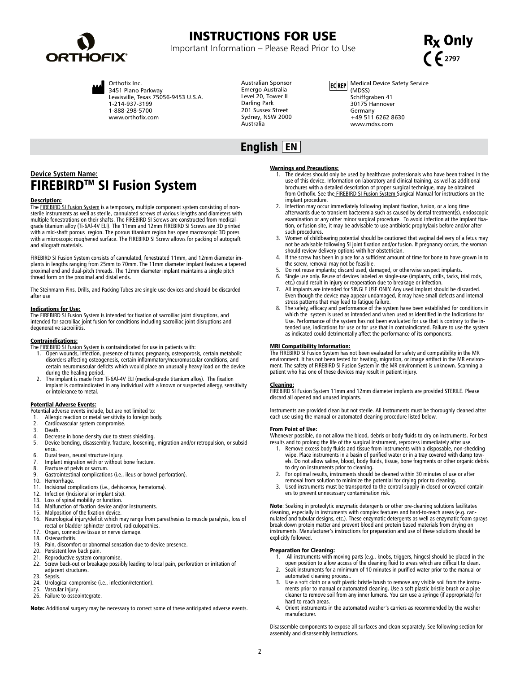

# INSTRUCTIONS FOR USE

Important Information – Please Read Prior to Use





Orthofix Inc. 3451 Plano Parkway Lewisville, Texas 75056-9453 U.S.A. 1-214-937-3199 1-888-298-5700 www.orthofix.com

Australian Sponsor Emergo Australia Level 20, Tower II Darling Park 201 Sussex Street Sydney, NSW 2000 Australia

English EN

## **ECREP** Medical Device Safety Service (MDSS) Schiffgraben 41 30175 Hannover Germany +49 511 6262 8630 www.mdss.com

# **Device System Name: FIREBIRD<sup>™</sup> SI Fusion System**

# Description:

The <u>FIREBIRD SI Fusion System</u> is a temporary, multiple component system consisting of non-<br>sterile instruments as well as sterile, cannulated screws of various lengths and diameters with multiple fenestrations on their shafts. The FIREBIRD SI Screws are constructed from medicalgrade titanium alloy (Ti-6Al-4V ELI). The 11mm and 12mm FIREBIRD SI Screws are 3D printed with a mid-shaft porous region. The porous titanium region has open macroscopic 3D pores with a microscopic roughened surface. The FIREBIRD SI Screw allows for packing of autograft and allograft materials.

FIREBIRD SI Fusion System consists of cannulated, fenestrated 11mm, and 12mm diameter implants in lengths ranging from 25mm to 70mm. The 11mm diameter implant features a tapered proximal end and dual-pitch threads. The 12mm diameter implant maintains a single pitch thread form on the proximal and distal ends.

The Steinmann Pins, Drills, and Packing Tubes are single use devices and should be discarded after use

# Indications for Use:

The FIREBIRD SI Fusion System is intended for fixation of sacroiliac joint disruptions, and intended for sacroiliac joint fusion for conditions including sacroiliac joint disruptions and degenerative sacroiliitis.

## Contraindications:

The **FIREBIRD SI Fusion System** is contraindicated for use in patients with:

- 1. Open wounds, infection, presence of tumor, pregnancy, osteoporosis, certain metabolic disorders affecting osteogenesis, certain inflammatory/neuromuscular conditions, and certain neuromuscular deficits which would place an unusually heavy load on the device during the healing period.
- 2. The implant is made from Ti-6Al-4V ELI (medical-grade titanium alloy). The fixation implant is contraindicated in any individual with a known or suspected allergy, sensitivity or intolerance to metal.

- **Potential Adverse Events:**<br>Potential adverse events include, but are not limited to:
- 1. Allergic reaction or metal sensitivity to foreign body.<br>2. Cardiovascular system compromise
- 2. Cardiovascular system compromise.<br>3. Death.
- Death.
- 4. Decrease in bone density due to stress shielding. 5. Device bending, disassembly, fracture, loosening, migration and/or retropulsion, or subsidence.
- 6. Dural tears, neural structure injury.<br>7. Implant migration with or without
- 7. Implant migration with or without bone fracture.
- 8. Fracture of pelvis or sacrum.<br>9. Gastrointestinal complication
- 9. Gastrointestinal complications (i.e., ileus or bowel perforation).
- 
- 10. Hemorrhage. 11. Incisional complications (i.e., dehiscence, hematoma).
- 12. Infection (Incisional or implant site).<br>13. Loss of spinal mobility or function.
- 13. Loss of spinal mobility or function.<br>14. Malfunction of fixation device and.
- 14. Malfunction of fixation device and/or instruments.<br>15. Malnosition of the fixation device
- Malposition of the fixation device.
- 16. Neurological injury/deficit which may range from paresthesias to muscle paralysis, loss of rectal or bladder sphincter control, radiculopathies.
- 17. Organ, connective tissue or nerve damage.<br>18. Osteoarthritis.
- 18. Osteoarthritis.<br>19. Pain. discomfo 19. Pain, discomfort or abnormal sensation due to device presence.<br>20. Persistent low back pain.
- Persistent low back pain.
- 
- 21. Reproductive system compromise.<br>22. Screw back-out or breakage possil Screw back-out or breakage possibly leading to local pain, perforation or irritation of adjacent structures.
- 23. Sepsis.<br>24. Urolog
- 24. Urological compromise (i.e., infection/retention).<br>25. Vascular injury.
- Vascular injury.
- 26. Failure to osseointegrate.

Note: Additional surgery may be necessary to correct some of these anticipated adverse events.

# Warnings and Precautions:

- 1. The devices should only be used by healthcare professionals who have been trained in the use of this device. Information on laboratory and clinical training, as well as additional brochures with a detailed description of proper surgical technique, may be obtained<br>from Orthofix. See the <u>FIREBIRD SI Fusion System S</u>urgical Manual for instructions on the implant procedure.
- Infection may occur immediately following implant fixation, fusion, or a long time afterwards due to transient bacteremia such as caused by dental treatment(s), endoscopic examination or any other minor surgical procedure. To avoid infection at the implant fixation, or fusion site, it may be advisable to use antibiotic prophylaxis before and/or after such procedures.
- 3. Women of childbearing potential should be cautioned that vaginal delivery of a fetus may not be advisable following SI joint fixation and/or fusion. If pregnancy occurs, the woman should review delivery options with her obstetrician.
- If the screw has been in place for a sufficient amount of time for bone to have grown in to
- the screw, removal may not be feasible. 5. Do not reuse implants; discard used, damaged, or otherwise suspect implants. 6. Single use only. Reuse of devices labeled as single-use (implants, drills, tacks, trial rods,
- etc.) could result in injury or reoperation due to breakage or infection.
- 7. All implants are intended for SINGLE USE ONLY. Any used implant should be discarded. Even though the device may appear undamaged, it may have small defects and internal stress patterns that may lead to fatigue failure.
- 8. The safety, efficacy and performance of the system have been established for conditions in which the system is used as intended and when used as identified in the Indications for Use. Performance of the system has not been evaluated for use that is contrary to the intended use, indications for use or for use that in contraindicated. Failure to use the system as indicated could detrimentally affect the performance of its components.

## MRI Compatibility Information:

The FIREBIRD SI Fusion System has not been evaluated for safety and compatibility in the MR environment. It has not been tested for heating, migration, or image artifact in the MR environment. The safety of FIREBIRD SI Fusion System in the MR environment is unknown. Scanning a patient who has one of these devices may result in patient injury.

**Cleaning:**<br>FIREBIRD SI Fusion System 11mm and 12mm diameter implants are provided STERILE. Please<br>discard all opened and unused implants.

Instruments are provided clean but not sterile. All instruments must be thoroughly cleaned after each use using the manual or automated cleaning procedure listed below.

### From Point of Use:

Whenever possible, do not allow the blood, debris or body fluids to dry on instruments. For best results and to prolong the life of the surgical instrument, reprocess immediately after use.

- Remove excess body fluids and tissue from instruments with a disposable, non-shedding wipe. Place instruments in a basin of purified water or in a tray covered with damp towels. Do not allow saline, blood, body fluids, tissue, bone fragments or other organic debris to dry on instruments prior to cleaning. 2. For optimal results, instruments should be cleaned within 30 minutes of use or after
- removal from solution to minimize the potential for drying prior to cleaning.
- Used instruments must be transported to the central supply in closed or covered containers to prevent unnecessary contamination risk.

**Note**: Soaking in proteolytic enzymatic detergents or other pre-cleaning solutions facilitates<br>cleaning, especially in instruments with complex features and hard-to-reach areas (e.g. can-<br>nulated and tubular designs, etc. break down protein matter and prevent blood and protein based materials from drying on instruments. Manufacturer's instructions for preparation and use of these solutions should be explicitly followed.

- Preparation for Cleaning:<br>1. All instruments with moving parts (e.g., knobs, triggers, hinges) should be placed in the<br>1. open position to allow access of the cleaning fluid to areas which are difficult to clean.
- 2. Soak instruments for a minimum of 10 minutes in purified water prior to the manual or automated cleaning process..
- 3. Use a soft cloth or a soft plastic bristle brush to remove any visible soil from the instruments prior to manual or automated cleaning. Use a soft plastic bristle brush or a pipe cleaner to remove soil from any inner lumens. You can use a syringe (if appropriate) for hard to reach areas.
- Orient instruments in the automated washer's carriers as recommended by the washer manufacturer.

Disassemble components to expose all surfaces and clean separately. See following section for assembly and disassembly instructions.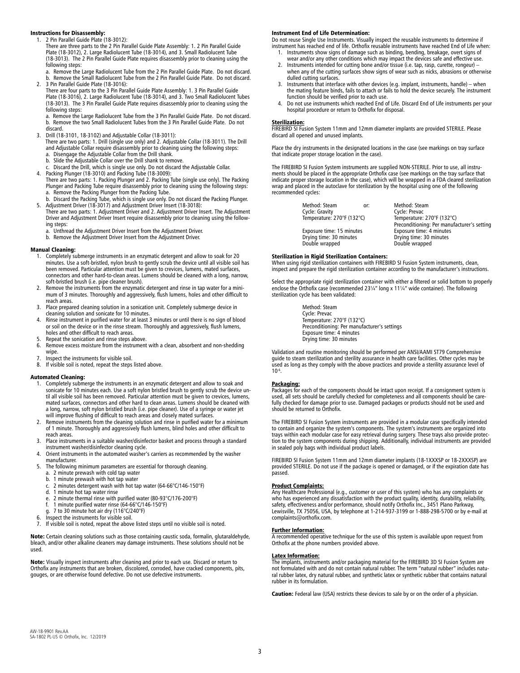# Instructions for Disassembly:

1. 2 Pin Parallel Guide Plate (18-3012): There are three parts to the 2 Pin Parallel Guide Plate Assembly: 1. 2 Pin Parallel Guide<br>Plate (18-3012), 2. Large Radiolucent Tube (18-3014), and 3. Small Radiolucent Tube<br>(18-3013). The 2 Pin Parallel Guide Plate requi following steps:

- a. Remove the Large Radiolucent Tube from the 2 Pin Parallel Guide Plate. Do not discard. b. Remove the Small Radiolucent Tube from the 2 Pin Parallel Guide Plate. Do not discard. 2. 3 Pin Parallel Guide Plate (18-3016):
- There are four parts to the 3 Pin Parallel Guide Plate Assembly: 1. 3 Pin Parallel Guide Plate (18-3016), 2. Large Radiolucent Tube (18-3014), and 3. Two Small Radiolucent Tubes (18-3013). The 3 Pin Parallel Guide Plate requires disassembly prior to cleaning using the following steps:
- a. Remove the Large Radiolucent Tube from the 3 Pin Parallel Guide Plate. Do not discard. b. Remove the two Small Radiolucent Tubes from the 3 Pin Parallel Guide Plate. Do not discard.
- 3. Drill (18-3101, 18-3102) and Adjustable Collar (18-3011):
- There are two parts: 1. Drill (single use only) and 2. Adjustable Collar (18-3011). The Drill and Adjustable Collar require disassembly prior to cleaning using the following steps: a. Disengage the Adjustable Collar from the Drill shank.
- 
- 
- b. Slide the Adjustable Collar over the Drill shank to remove. c. Discard the Drill, which is single use only. Do not discard the Adjustable Collar. 4. Packing Plunger (18-3010) and Packing Tube (18-3009): There are two parts: 1. Packing Plunger and 2. Packing Tube (single use only). The Packing Plunger and Packing Tube require disassembly prior to cleaning using the following steps: a. Remove the Packing Plunger from the Packing Tube.
- b. Discard the Packing Tube, which is single use only. Do not discard the Packing Plunger.<br>5. Adjustment Driver (18-3017) and Adjustment Driver Insert (18-3018):<br>19. There are two parts: 1. Adjustment Driver and 2. Adjustm
- Driver and Adjustment Driver Insert require disassembly prior to cleaning using the following steps:
- a. Unthread the Adjustment Driver Insert from the Adjustment Driver.
- b. Remove the Adjustment Driver Insert from the Adjustment Driver.

## Manual Cleaning:

- 1. Completely submerge instruments in an enzymatic detergent and allow to soak for 20 minutes. Use a soft-bristled, nylon brush to gently scrub the device until all visible soil has been removed. Particular attention must be given to crevices, lumens, mated surfaces, connectors and other hard-to-clean areas. Lumens should be cleaned with a long, narrow, soft-bristled brush (i.e. pipe cleaner brush).
- 2. Remove the instruments from the enzymatic detergent and rinse in tap water for a minimum of 3 minutes. Thoroughly and aggressively, flush lumens, holes and other difficult to reach areas.
- 3. Place prepared cleaning solution in a sonication unit. Completely submerge device in cleaning solution and sonicate for 10 minutes.
- 4. Rinse instrument in purified water for at least 3 minutes or until there is no sign of blood or soil on the device or in the rinse stream. Thoroughly and aggressively, flush lumens, holes and other difficult to reach areas.
- 5. Repeat the sonication and rinse steps above.<br>6. Remove excess moisture from the instrument
- Remove excess moisture from the instrument with a clean, absorbent and non-shedding wipe.
- 7. Inspect the instruments for visible soil.<br>8. If visible soil is noted, repeat the steps
- If visible soil is noted, repeat the steps listed above.

# Automated Cleaning:

- 1. Completely submerge the instruments in an enzymatic detergent and allow to soak and sonicate for 10 minutes each. Use a soft nylon bristled brush to gently scrub the device until all visible soil has been removed. Particular attention must be given to crevices, lumens, mated surfaces, connectors and other hard to clean areas. Lumens should be cleaned with<br>a long, narrow, soft nylon bristled brush (i.e. pipe cleaner). Use of a syringe or water jet<br>will improve flushing of difficult to rea
- Remove instruments from the cleaning solution and rinse in purified water for a minimum of 1 minute. Thoroughly and aggressively flush lumens, blind holes and other difficult to reach areas.
- 3. Place instruments in a suitable washer/disinfector basket and process through a standard instrument washer/disinfector cleaning cycle. 4. Orient instruments in the automated washer's carriers as recommended by the washer
- manufacturer.
- 5. The following minimum parameters are essential for thorough cleaning.
	- a. 2 minute prewash with cold tap water
	- b. 1 minute prewash with hot tap water c. 2 minutes detergent wash with hot tap water (64-66°C/146-150°F)
	- c. 2 minutes detergent wash wid. 1 minute hot tap water rinse
	-
	- e. 2 minute thermal rinse with purified water (80-93°C/176-200°F)<br>f. 1 minute purified water rinse (64-66°C/146-150°F) f. 1 minute purified water rinse (64-66°C/146-150°F)
- g. 7 to 30 minute hot air dry (116°C/240°F)
- 6. Inspect the instruments for visible soil.<br>7. If visible soil is noted, repeat the abov
- If visible soil is noted, repeat the above listed steps until no visible soil is noted.

Note: Certain cleaning solutions such as those containing caustic soda, formalin, glutaraldehyde, bleach, and/or other alkaline cleaners may damage instruments. These solutions should not be used.

Note: Visually inspect instruments after cleaning and prior to each use. Discard or return to Orthofix any instruments that are broken, discolored, corroded, have cracked components, pits, gouges, or are otherwise found defective. Do not use defective instruments.

## Instrument End of Life Determination:

Do not reuse Single Use Instruments. Visually inspect the reusable instruments to determine if instrument has reached end of life. Orthofix reusable instruments have reached End of Life when:

- 1. Instruments show signs of damage such as binding, bending, breakage, overt signs of<br>wear and/or any other conditions which may impact the devices safe and effective use.<br>2. Instruments intended for cutting bone and/or t
- when any of the cutting surfaces show signs of wear such as nicks, abrasions or otherwise
- dulled cutting surfaces. 3. Instruments that interface with other devices (e.g. implant, instruments, handle) when the mating feature binds, fails to attach or fails to hold the device securely. The instrument function should be verified prior to each use.
- 4. Do not use instruments which reached End of Life. Discard End of Life instruments per your hospital procedure or return to Orthofix for disposal.

# Sterilization:

FIREBIRD SI Fusion System 11mm and 12mm diameter implants are provided STERILE. Please discard all opened and unused implants.

Place the dry instruments in the designated locations in the case (see markings on tray surface that indicate proper storage location in the case).

The FIREBIRD SI Fusion System instruments are supplied NON-STERILE. Prior to use, all instru-ments should be placed in the appropriate Orthofix case (see markings on the tray surface that indicate proper storage location in the case), which will be wrapped in a FDA cleared sterilization wrap and placed in the autoclave for sterilization by the hospital using one of the following recommended cycles:

| Method: Steam<br>or:       | Method: Steam                               |
|----------------------------|---------------------------------------------|
| Cycle: Gravity             | Cycle: Prevac                               |
| Temperature: 270°F (132°C) | Temperature: 270°F (132°C)                  |
|                            | Preconditioning: Per manufacturer's setting |
| Exposure time: 15 minutes  | Exposure time: 4 minutes                    |
| Drying time: 30 minutes    | Drying time: 30 minutes                     |
| Double wrapped             | Double wrapped                              |
|                            |                                             |

# Sterilization in Rigid Sterilization Containers:

When using rigid sterilization containers with FIREBIRD SI Fusion System instruments, clean, inspect and prepare the rigid sterilization container according to the manufacturer's instructions.

Select the appropriate rigid sterilization container with either a filtered or solid bottom to properly enclose the Orthofix case (recommended 23¼" long x 11¼" wide container). The following sterilization cycle has been validated:

> Method: Steam Cycle: Prevac Temperature: 270°F (132°C) Preconditioning: Per manufacturer's settings Exposure time: 4 minutes Drying time: 30 minutes

Validation and routine monitoring should be performed per ANSI/AAMI ST79 Comprehensive guide to steam sterilization and sterility assurance in health care facilities. Other cycles may be used as long as they comply with the above practices and provide a sterility assurance level of  $10^{-6}$ 

## Packaging:

Packages for each of the components should be intact upon receipt. If a consignment system is used, all sets should be carefully checked for completeness and all components should be carefully checked for damage prior to use. Damaged packages or products should not be used and should be returned to Orthofix.

The FIREBIRD SI Fusion System instruments are provided in a modular case specifically intended to contain and organize the system's components. The system's instruments are organized into trays within each modular case for easy retrieval during surgery. These trays also provide protec-tion to the system components during shipping. Additionally, individual instruments are provided in sealed poly bags with individual product labels.

FIREBIRD SI Fusion System 11mm and 12mm diameter implants (18-1XXXSP or 18-2XXXSP) are<br>provided STERILE. Do not use if the package is opened or damaged, or if the expiration date has .<br>passed.

<u>Product Complaints:</u><br>Any Healthcare Professional (e.g., customer or user of this system) who has any complaints or<br>who has experienced any dissatisfaction with the product quality, identity, durability, reliability, safety, effectiveness and/or performance, should notify Orthofix Inc., 3451 Plano Parkway, Lewisville, TX 75056, USA, by telephone at 1-214-937-3199 or 1-888-298-5700 or by e-mail at complaints@orthofix.com.

Further Information: A recommended operative technique for the use of this system is available upon request from Orthofix at the phone numbers provided above.

### Latex Information:

**The implants, instruments and/or packaging material for the FIREBIRD 3D SI Fusion System are** not formulated with and do not contain natural rubber. The term "natural rubber" includes natural rubber latex, dry natural rubber, and synthetic latex or synthetic rubber that contains natural rubber in its formulation.

Caution: Federal law (USA) restricts these devices to sale by or on the order of a physician.